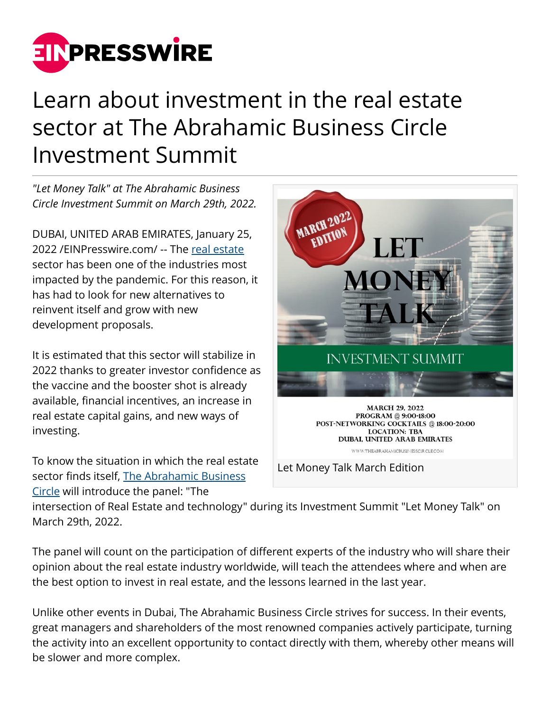

## Learn about investment in the real estate sector at The Abrahamic Business Circle Investment Summit

*"Let Money Talk" at The Abrahamic Business Circle Investment Summit on March 29th, 2022.*

DUBAI, UNITED ARAB EMIRATES, January 25, 2022 /[EINPresswire.com](http://www.einpresswire.com)/ -- The [real estate](http://theabrahamicbusinesscircle.com) sector has been one of the industries most impacted by the pandemic. For this reason, it has had to look for new alternatives to reinvent itself and grow with new development proposals.

It is estimated that this sector will stabilize in 2022 thanks to greater investor confidence as the vaccine and the booster shot is already available, financial incentives, an increase in real estate capital gains, and new ways of investing.

To know the situation in which the real estate sector finds itself, [The Abrahamic Business](http://theabrahamicbusinesscircle.com) [Circle](http://theabrahamicbusinesscircle.com) will introduce the panel: "The



Let Money Talk March Edition

intersection of Real Estate and technology" during its Investment Summit "Let Money Talk" on March 29th, 2022.

The panel will count on the participation of different experts of the industry who will share their opinion about the real estate industry worldwide, will teach the attendees where and when are the best option to invest in real estate, and the lessons learned in the last year.

Unlike other events in Dubai, The Abrahamic Business Circle strives for success. In their events, great managers and shareholders of the most renowned companies actively participate, turning the activity into an excellent opportunity to contact directly with them, whereby other means will be slower and more complex.